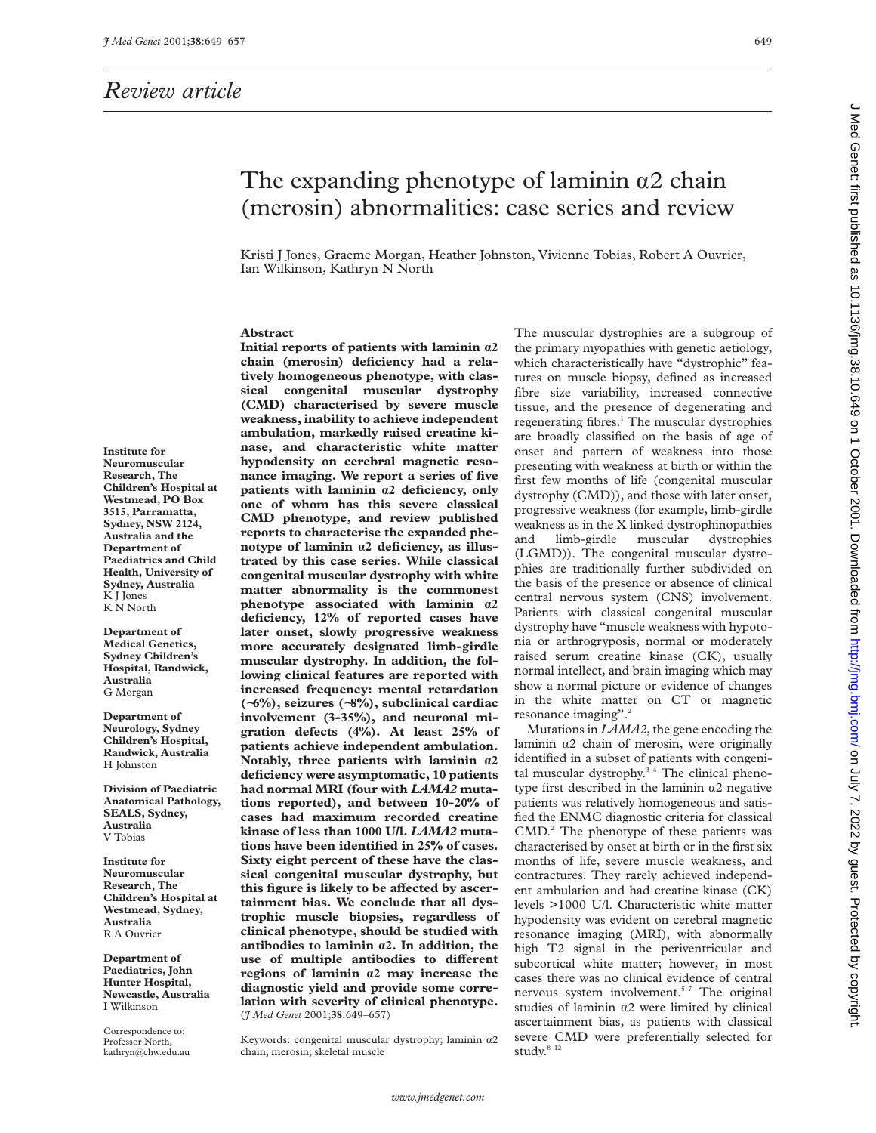## *Review article*

## The expanding phenotype of laminin  $\alpha$ 2 chain (merosin) abnormalities: case series and review

Kristi J Jones, Graeme Morgan, Heather Johnston, Vivienne Tobias, Robert A Ouvrier, Ian Wilkinson, Kathryn N North

#### **Abstract**

**Initial reports of patients with laminin á2 chain (merosin) deficiency had a relatively homogeneous phenotype, with classical congenital muscular dystrophy (CMD) characterised by severe muscle weakness, inability to achieve independent ambulation, markedly raised creatine kinase, and characteristic white matter hypodensity on cerebral magnetic resonance imaging. We report a series of five patients with laminin á2 deficiency, only one of whom has this severe classical CMD phenotype, and review published reports to characterise the expanded phenotype of laminin á2 deficiency, as illustrated by this case series. While classical congenital muscular dystrophy with white matter abnormality is the commonest phenotype associated with laminin á2 deficiency, 12% of reported cases have later onset, slowly progressive weakness more accurately designated limb-girdle muscular dystrophy. In addition, the following clinical features are reported with increased frequency: mental retardation (**∼**6%), seizures (**∼**8%), subclinical cardiac involvement (3-35%), and neuronal migration defects (4%). At least 25% of patients achieve independent ambulation. Notably, three patients with laminin á2 deficiency were asymptomatic, 10 patients had normal MRI (four with** *LAMA2* **mutations reported), and between 10-20% of cases had maximum recorded creatine kinase of less than 1000 U/l.** *LAMA2* **mutations have been identified in 25% of cases. Sixty eight percent of these have the classical congenital muscular dystrophy, but** this figure is likely to be affected by ascer**tainment bias. We conclude that all dystrophic muscle biopsies, regardless of clinical phenotype, should be studied with antibodies to laminin á2. In addition, the** use of multiple antibodies to different **regions of laminin á2 may increase the diagnostic yield and provide some correlation with severity of clinical phenotype.** (*J Med Genet* 2001;**38**:649–657)

Keywords: congenital muscular dystrophy; laminin  $a2$ chain; merosin; skeletal muscle

The muscular dystrophies are a subgroup of the primary myopathies with genetic aetiology, which characteristically have "dystrophic" features on muscle biopsy, defined as increased fibre size variability, increased connective tissue, and the presence of degenerating and regenerating fibres.<sup>1</sup> The muscular dystrophies are broadly classified on the basis of age of onset and pattern of weakness into those presenting with weakness at birth or within the first few months of life (congenital muscular dystrophy (CMD)), and those with later onset, progressive weakness (for example, limb-girdle weakness as in the X linked dystrophinopathies and limb-girdle muscular dystrophies (LGMD)). The congenital muscular dystrophies are traditionally further subdivided on the basis of the presence or absence of clinical central nervous system (CNS) involvement. Patients with classical congenital muscular dystrophy have "muscle weakness with hypotonia or arthrogryposis, normal or moderately raised serum creatine kinase (CK), usually normal intellect, and brain imaging which may show a normal picture or evidence of changes in the white matter on CT or magnetic resonance imaging".<sup>2</sup>

Mutations in *LAMA2*, the gene encoding the laminin  $\alpha$ 2 chain of merosin, were originally identified in a subset of patients with congenital muscular dystrophy.<sup>34</sup> The clinical phenotype first described in the laminin  $\alpha$ 2 negative patients was relatively homogeneous and satisfied the ENMC diagnostic criteria for classical CMD.<sup>2</sup> The phenotype of these patients was characterised by onset at birth or in the first six months of life, severe muscle weakness, and contractures. They rarely achieved independent ambulation and had creatine kinase (CK) levels >1000 U/l. Characteristic white matter hypodensity was evident on cerebral magnetic resonance imaging (MRI), with abnormally high T2 signal in the periventricular and subcortical white matter; however, in most cases there was no clinical evidence of central nervous system involvement.<sup>5-7</sup> The original studies of laminin  $\alpha$ 2 were limited by clinical ascertainment bias, as patients with classical severe CMD were preferentially selected for study. $8-12$ 

**Institute for Neuromuscular Research, The Children's Hospital at Westmead, PO Box 3515, Parramatta, Sydney, NSW 2124, Australia and the Department of Paediatrics and Child Health, University of Sydney, Australia** K J Jones K N North

**Department of Medical Genetics, Sydney Children's Hospital, Randwick, Australia** G Morgan

**Department of Neurology, Sydney Children's Hospital, Randwick, Australia** H Johnston

**Division of Paediatric Anatomical Pathology, SEALS, Sydney, Australia** V Tobias

**Institute for Neuromuscular Research, The Children's Hospital at Westmead, Sydney, Australia** R A Ouvrier

**Department of Paediatrics, John Hunter Hospital, Newcastle, Australia** I Wilkinson

Correspondence to: Professor North, kathryn@chw.edu.au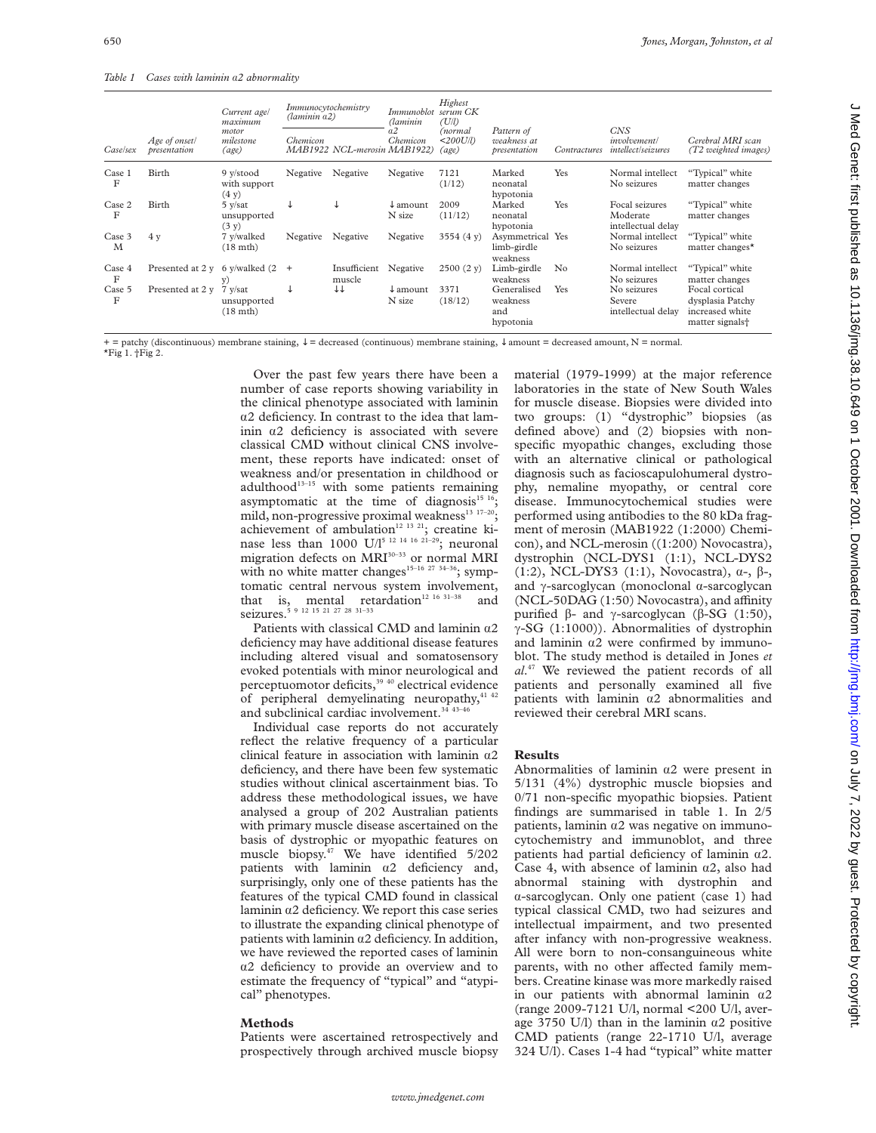*Table 1 Cases with laminin* á*2 abnormality*

| <i>Case</i> /sex | Age of onset/<br>presentation      | Current age/<br>maximum<br>motor<br>milestone<br>(age) | Immunocytochemistry<br>(laminin a2) |                              | Immunoblot<br>Aaminin         | Highest<br>serum CK<br>(U/l)                  |                                             |              |                                                         |                                                                                      |
|------------------|------------------------------------|--------------------------------------------------------|-------------------------------------|------------------------------|-------------------------------|-----------------------------------------------|---------------------------------------------|--------------|---------------------------------------------------------|--------------------------------------------------------------------------------------|
|                  |                                    |                                                        | Chemicon                            | MAB1922 NCL-merosin MAB1922) | a2<br>Chemicon                | (normal<br>$<$ 200U/l)<br>$\left( age\right)$ | Pattern of<br>weakness at<br>presentation   | Contractures | <b>CNS</b><br>involvement/<br><i>intellect/seizures</i> | Cerebral MRI scan<br>T2 weighted images)                                             |
| Case 1<br>F      | Birth                              | 9 y/stood<br>with support<br>(4 y)                     | Negative                            | Negative                     | Negative                      | 7121<br>(1/12)                                | Marked<br>neonatal<br>hypotonia             | Yes          | Normal intellect<br>No seizures                         | "Typical" white<br>matter changes                                                    |
| Case 2<br>F      | Birth                              | $5$ y/sat<br>unsupported<br>(3 y)                      | ◡                                   |                              | $\downarrow$ amount<br>N size | 2009<br>(11/12)                               | Marked<br>neonatal<br>hypotonia             | Yes          | Focal seizures<br>Moderate<br>intellectual delay        | "Typical" white<br>matter changes                                                    |
| Case 3<br>M      | 4v                                 | 7 v/walked<br>$(18 \text{ mth})$                       | Negative                            | Negative                     | Negative                      | 3554 $(4 y)$                                  | Asymmetrical<br>limb-girdle<br>weakness     | Yes          | Normal intellect<br>No seizures                         | "Typical" white<br>matter changes <sup><math>\star</math></sup>                      |
| Case 4<br>F      | Presented at 2 y 6 y/walked $(2 +$ | y.                                                     |                                     | Insufficient<br>muscle       | Negative                      | $2500(2 \text{ y})$                           | Limb-girdle<br>weakness                     | No           | Normal intellect<br>No seizures                         | "Typical" white<br>matter changes                                                    |
| Case 5<br>F      | Presented at 2 y                   | 7 y/sat<br>unsupported<br>$(18 \text{ mth})$           |                                     | ↓↓                           | $\downarrow$ amount<br>N size | 3371<br>(18/12)                               | Generalised<br>weakness<br>and<br>hypotonia | Yes          | No seizures<br>Severe<br>intellectual delay             | Focal cortical<br>dysplasia Patchy<br>increased white<br>matter signals <sup>+</sup> |

+ = patchy (discontinuous) membrane staining, ↓ = decreased (continuous) membrane staining, ↓ amount = decreased amount, N = normal. \*Fig 1. †Fig 2.

> Over the past few years there have been a number of case reports showing variability in the clinical phenotype associated with laminin  $\alpha$ 2 deficiency. In contrast to the idea that laminin  $\alpha$ 2 deficiency is associated with severe classical CMD without clinical CNS involvement, these reports have indicated: onset of weakness and/or presentation in childhood or adulthood<sup>13-15</sup> with some patients remaining asymptomatic at the time of diagnosis<sup>15 16</sup>; mild, non-progressive proximal weakness<sup>13</sup> <sup>17-20</sup>; achievement of ambulation<sup>12 13 21</sup>; creatine kinase less than 1000 U/l<sup>5 12 14 16 21–29</sup>; neuronal migration defects on MRI<sup>30-33</sup> or normal MRI with no white matter changes<sup>15-16</sup> <sup>27</sup> <sup>34-36</sup>; symptomatic central nervous system involvement, that is, mental retardation<sup>12 16 31-38</sup> and seizures.<sup>5</sup> 9 12 15 21 27 28 31-33

> Patients with classical CMD and laminin  $\alpha$ 2 deficiency may have additional disease features including altered visual and somatosensory evoked potentials with minor neurological and perceptuomotor deficits,<sup>39 40</sup> electrical evidence of peripheral demyelinating neuropathy, $41/42$ and subclinical cardiac involvement.<sup>34 43-46</sup>

> Individual case reports do not accurately reflect the relative frequency of a particular clinical feature in association with laminin  $\alpha$ 2 deficiency, and there have been few systematic studies without clinical ascertainment bias. To address these methodological issues, we have analysed a group of 202 Australian patients with primary muscle disease ascertained on the basis of dystrophic or myopathic features on muscle biopsy.<sup>47</sup> We have identified 5/202 patients with laminin  $\alpha$ 2 deficiency and, surprisingly, only one of these patients has the features of the typical CMD found in classical laminin  $\alpha$ 2 deficiency. We report this case series to illustrate the expanding clinical phenotype of patients with laminin  $\alpha$ 2 deficiency. In addition, we have reviewed the reported cases of laminin  $\alpha$ 2 deficiency to provide an overview and to estimate the frequency of "typical" and "atypical" phenotypes.

#### **Methods**

Patients were ascertained retrospectively and prospectively through archived muscle biopsy material (1979-1999) at the major reference laboratories in the state of New South Wales for muscle disease. Biopsies were divided into two groups: (1) "dystrophic" biopsies (as defined above) and (2) biopsies with nonspecific myopathic changes, excluding those with an alternative clinical or pathological diagnosis such as facioscapulohumeral dystrophy, nemaline myopathy, or central core disease. Immunocytochemical studies were performed using antibodies to the 80 kDa fragment of merosin (MAB1922 (1:2000) Chemicon), and NCL-merosin ((1:200) Novocastra), dystrophin (NCL-DYS1 (1:1), NCL-DYS2 (1:2), NCL-DYS3 (1:1), Novocastra),  $\alpha$ -,  $\beta$ -, and  $\gamma$ -sarcoglycan (monoclonal  $\alpha$ -sarcoglycan  $(NCL-50DAG (1:50) Novocastra)$ , and affinity purified  $\beta$ - and  $\gamma$ -sarcoglycan ( $\beta$ -SG (1:50),  $\gamma$ -SG (1:1000)). Abnormalities of dystrophin and laminin  $\alpha$ 2 were confirmed by immunoblot. The study method is detailed in Jones *et al*. <sup>47</sup> We reviewed the patient records of all patients and personally examined all five patients with laminin  $\alpha$ 2 abnormalities and reviewed their cerebral MRI scans.

#### **Results**

Abnormalities of laminin  $\alpha$ 2 were present in 5/131 (4%) dystrophic muscle biopsies and 0/71 non-specific myopathic biopsies. Patient findings are summarised in table 1. In 2/5 patients, laminin  $\alpha$ 2 was negative on immunocytochemistry and immunoblot, and three patients had partial deficiency of laminin  $\alpha$ 2. Case 4, with absence of laminin  $\alpha$ 2, also had abnormal staining with dystrophin and  $\alpha$ -sarcoglycan. Only one patient (case 1) had typical classical CMD, two had seizures and intellectual impairment, and two presented after infancy with non-progressive weakness. All were born to non-consanguineous white parents, with no other affected family members. Creatine kinase was more markedly raised in our patients with abnormal laminin  $\alpha$ 2 (range 2009-7121 U/l, normal <200 U/l, average 3750 U/l) than in the laminin  $\alpha$ 2 positive CMD patients (range 22-1710 U/l, average 324 U/l). Cases 1-4 had "typical" white matter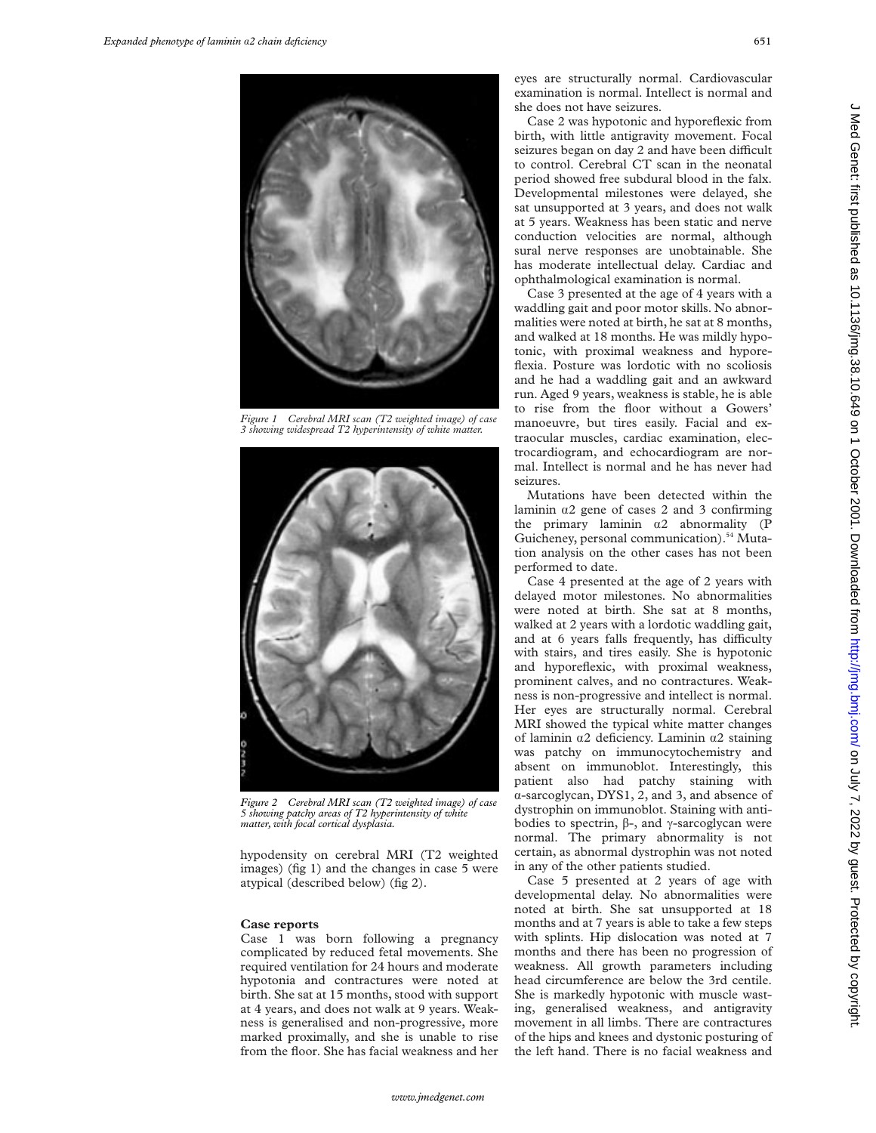

*Figure 1 Cerebral MRI scan (T2 weighted image) of case 3 showing widespread T2 hyperintensity of white matter.*



*Figure 2 Cerebral MRI scan (T2 weighted image) of case 5 showing patchy areas of T2 hyperintensity of white matter, with focal cortical dysplasia.*

hypodensity on cerebral MRI (T2 weighted images) (fig 1) and the changes in case 5 were atypical (described below) (fig 2).

#### **Case reports**

Case 1 was born following a pregnancy complicated by reduced fetal movements. She required ventilation for 24 hours and moderate hypotonia and contractures were noted at birth. She sat at 15 months, stood with support at 4 years, and does not walk at 9 years. Weakness is generalised and non-progressive, more marked proximally, and she is unable to rise from the floor. She has facial weakness and her

eyes are structurally normal. Cardiovascular examination is normal. Intellect is normal and she does not have seizures.

Case 2 was hypotonic and hyporeflexic from birth, with little antigravity movement. Focal seizures began on day 2 and have been difficult to control. Cerebral CT scan in the neonatal period showed free subdural blood in the falx. Developmental milestones were delayed, she sat unsupported at 3 years, and does not walk at 5 years. Weakness has been static and nerve conduction velocities are normal, although sural nerve responses are unobtainable. She has moderate intellectual delay. Cardiac and ophthalmological examination is normal.

Case 3 presented at the age of 4 years with a waddling gait and poor motor skills. No abnormalities were noted at birth, he sat at 8 months, and walked at 18 months. He was mildly hypotonic, with proximal weakness and hyporeflexia. Posture was lordotic with no scoliosis and he had a waddling gait and an awkward run. Aged 9 years, weakness is stable, he is able to rise from the floor without a Gowers' manoeuvre, but tires easily. Facial and extraocular muscles, cardiac examination, electrocardiogram, and echocardiogram are normal. Intellect is normal and he has never had seizures.

Mutations have been detected within the laminin  $\alpha$ 2 gene of cases 2 and 3 confirming the primary laminin  $\alpha$ 2 abnormality (P Guicheney, personal communication).<sup>54</sup> Mutation analysis on the other cases has not been performed to date.

Case 4 presented at the age of 2 years with delayed motor milestones. No abnormalities were noted at birth. She sat at 8 months, walked at 2 years with a lordotic waddling gait, and at 6 years falls frequently, has difficulty with stairs, and tires easily. She is hypotonic and hyporeflexic, with proximal weakness, prominent calves, and no contractures. Weakness is non-progressive and intellect is normal. Her eyes are structurally normal. Cerebral MRI showed the typical white matter changes of laminin  $\alpha$ 2 deficiency. Laminin  $\alpha$ 2 staining was patchy on immunocytochemistry and absent on immunoblot. Interestingly, this patient also had patchy staining with á-sarcoglycan, DYS1, 2, and 3, and absence of dystrophin on immunoblot. Staining with antibodies to spectrin,  $\beta$ -, and  $\gamma$ -sarcoglycan were normal. The primary abnormality is not certain, as abnormal dystrophin was not noted in any of the other patients studied.

Case 5 presented at 2 years of age with developmental delay. No abnormalities were noted at birth. She sat unsupported at 18 months and at 7 years is able to take a few steps with splints. Hip dislocation was noted at 7 months and there has been no progression of weakness. All growth parameters including head circumference are below the 3rd centile. She is markedly hypotonic with muscle wasting, generalised weakness, and antigravity movement in all limbs. There are contractures of the hips and knees and dystonic posturing of the left hand. There is no facial weakness and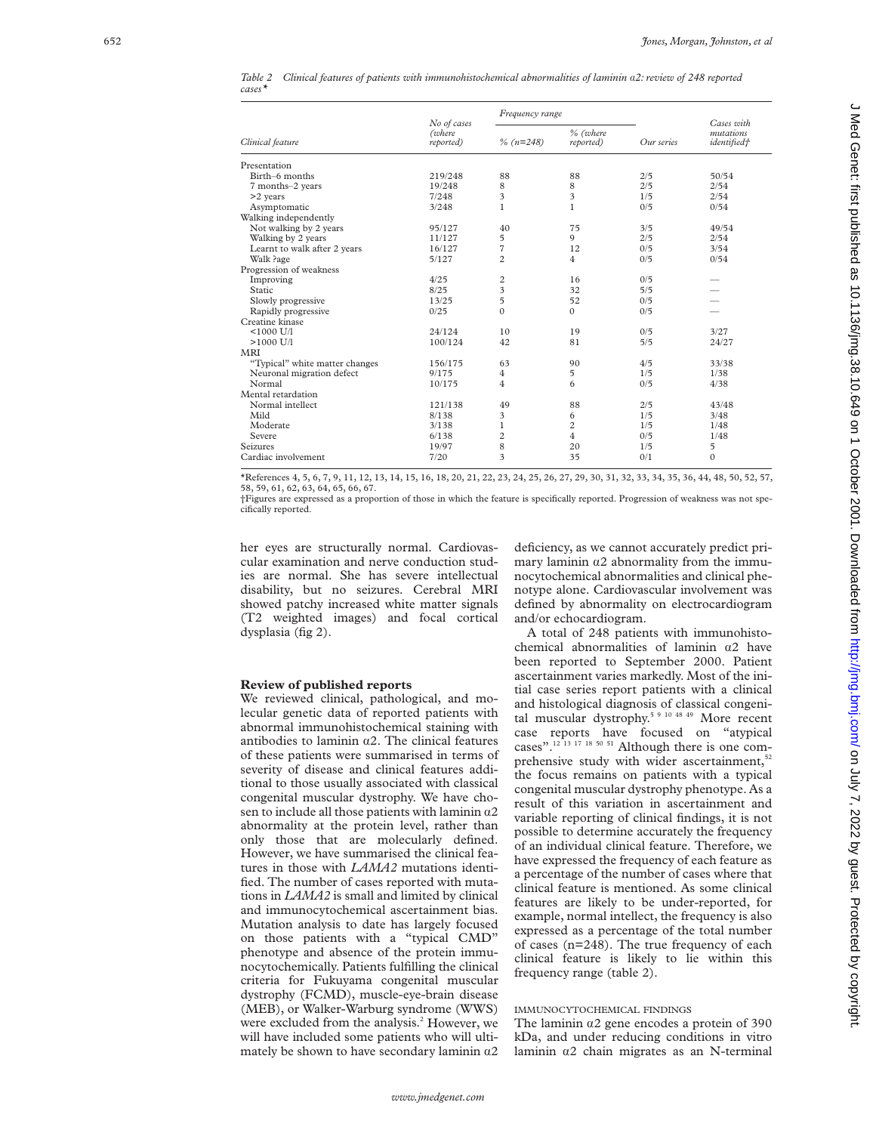|           | Table 2 Clinical features of patients with immunohistochemical abnormalities of laminin a2: review of 248 reported |  |  |  |  |
|-----------|--------------------------------------------------------------------------------------------------------------------|--|--|--|--|
| $cases^*$ |                                                                                                                    |  |  |  |  |

|                                |                                    | Frequency range |                       |            | Cases with<br>mutations<br><i>identified†</i> |  |
|--------------------------------|------------------------------------|-----------------|-----------------------|------------|-----------------------------------------------|--|
| Clinical feature               | No of cases<br>(where<br>reported) | $\%$ (n=248)    | % (where<br>reported) | Our series |                                               |  |
| Presentation                   |                                    |                 |                       |            |                                               |  |
| Birth-6 months                 | 219/248                            | 88              | 88                    | 2/5        | 50/54                                         |  |
| 7 months-2 years               | 19/248                             | 8               | 8                     | 2/5        | 2/54                                          |  |
| >2 years                       | 7/248                              | 3               | 3                     | 1/5        | 2/54                                          |  |
| Asymptomatic                   | 3/248                              | $\mathbf{1}$    | $\mathbf{1}$          | 0/5        | 0/54                                          |  |
| Walking independently          |                                    |                 |                       |            |                                               |  |
| Not walking by 2 years         | 95/127                             | 40              | 75                    | 3/5        | 49/54                                         |  |
| Walking by 2 years             | 11/127                             | 5               | 9                     | 2/5        | 2/54                                          |  |
| Learnt to walk after 2 years   | 16/127                             | 7               | 12                    | 0/5        | 3/54                                          |  |
| Walk ?age                      | 5/127                              | $\overline{c}$  | 4                     | 0/5        | 0/54                                          |  |
| Progression of weakness        |                                    |                 |                       |            |                                               |  |
| Improving                      | 4/25                               | $\overline{c}$  | 16                    | 0/5        |                                               |  |
| Static                         | 8/25                               | 3               | 32                    | 5/5        |                                               |  |
| Slowly progressive             | 13/25                              | 5               | 52                    | 0/5        |                                               |  |
| Rapidly progressive            | 0/25                               | $\Omega$        | $\mathbf{0}$          | 0/5        |                                               |  |
| Creatine kinase                |                                    |                 |                       |            |                                               |  |
| $< 1000$ U/l                   | 24/124                             | 10              | 19                    | 0/5        | 3/27                                          |  |
| $>1000$ U/I                    | 100/124                            | 42              | 81                    | 5/5        | 24/27                                         |  |
| MRI                            |                                    |                 |                       |            |                                               |  |
| "Typical" white matter changes | 156/175                            | 63              | 90                    | 4/5        | 33/38                                         |  |
| Neuronal migration defect      | 9/175                              | 4               | 5                     | 1/5        | 1/38                                          |  |
| Normal                         | 10/175                             | $\overline{4}$  | 6                     | 0/5        | 4/38                                          |  |
| Mental retardation             |                                    |                 |                       |            |                                               |  |
| Normal intellect               | 121/138                            | 49              | 88                    | 2/5        | 43/48                                         |  |
| Mild                           | 8/138                              | 3               | 6                     | 1/5        | 3/48                                          |  |
| Moderate                       | 3/138                              | 1               | $\overline{c}$        | 1/5        | 1/48                                          |  |
| Severe                         | 6/138                              | $\overline{c}$  | 4                     | 0/5        | 1/48                                          |  |
| Seizures                       | 19/97                              | 8               | 20                    | 1/5        | 5                                             |  |
| Cardiac involvement            | 7/20                               | 3               | 35                    | 0/1        | $\mathbf{0}$                                  |  |

\*References 4, 5, 6, 7, 9, 11, 12, 13, 14, 15, 16, 18, 20, 21, 22, 23, 24, 25, 26, 27, 29, 30, 31, 32, 33, 34, 35, 36, 44, 48, 50, 52, 57, 58, 59, 61, 62, 63, 64, 65, 66, 67.

†Figures are expressed as a proportion of those in which the feature is specifically reported. Progression of weakness was not specifically reported.

her eyes are structurally normal. Cardiovascular examination and nerve conduction studies are normal. She has severe intellectual disability, but no seizures. Cerebral MRI showed patchy increased white matter signals (T2 weighted images) and focal cortical dysplasia (fig 2).

**Review of published reports** We reviewed clinical, pathological, and molecular genetic data of reported patients with abnormal immunohistochemical staining with antibodies to laminin  $\alpha$ 2. The clinical features of these patients were summarised in terms of severity of disease and clinical features additional to those usually associated with classical congenital muscular dystrophy. We have chosen to include all those patients with laminin  $\alpha$ 2 abnormality at the protein level, rather than only those that are molecularly defined. However, we have summarised the clinical features in those with *LAMA2* mutations identified. The number of cases reported with mutations in *LAMA2* is small and limited by clinical and immunocytochemical ascertainment bias. Mutation analysis to date has largely focused on those patients with a "typical CMD" phenotype and absence of the protein immunocytochemically. Patients fulfilling the clinical criteria for Fukuyama congenital muscular dystrophy (FCMD), muscle-eye-brain disease (MEB), or Walker-Warburg syndrome (WWS) were excluded from the analysis. <sup>2</sup> However, we will have included some patients who will ultimately be shown to have secondary laminin  $\alpha$ 2

deficiency, as we cannot accurately predict primary laminin  $\alpha$ 2 abnormality from the immunocytochemical abnormalities and clinical phenotype alone. Cardiovascular involvement was defined by abnormality on electrocardiogram and/or echocardiogram.

A total of 248 patients with immunohistochemical abnormalities of laminin  $\alpha$ 2 have been reported to September 2000. Patient ascertainment varies markedly. Most of the initial case series report patients with a clinical and histological diagnosis of classical congenital muscular dystrophy.<sup>5 9 10 48 49</sup> More recent case reports have focused on "atypical cases".<sup>12 13 17 18 50 51</sup> Although there is one comprehensive study with wider ascertainment,<sup>52</sup> the focus remains on patients with a typical congenital muscular dystrophy phenotype. As a result of this variation in ascertainment and variable reporting of clinical findings, it is not possible to determine accurately the frequency of an individual clinical feature. Therefore, we have expressed the frequency of each feature as a percentage of the number of cases where that clinical feature is mentioned. As some clinical features are likely to be under-reported, for example, normal intellect, the frequency is also expressed as a percentage of the total number of cases (n=248). The true frequency of each clinical feature is likely to lie within this frequency range (table 2).

### IMMUNOCYTOCHEMICAL FINDINGS

The laminin a2 gene encodes a protein of 390 kDa, and under reducing conditions in vitro laminin á2 chain migrates as an N-terminal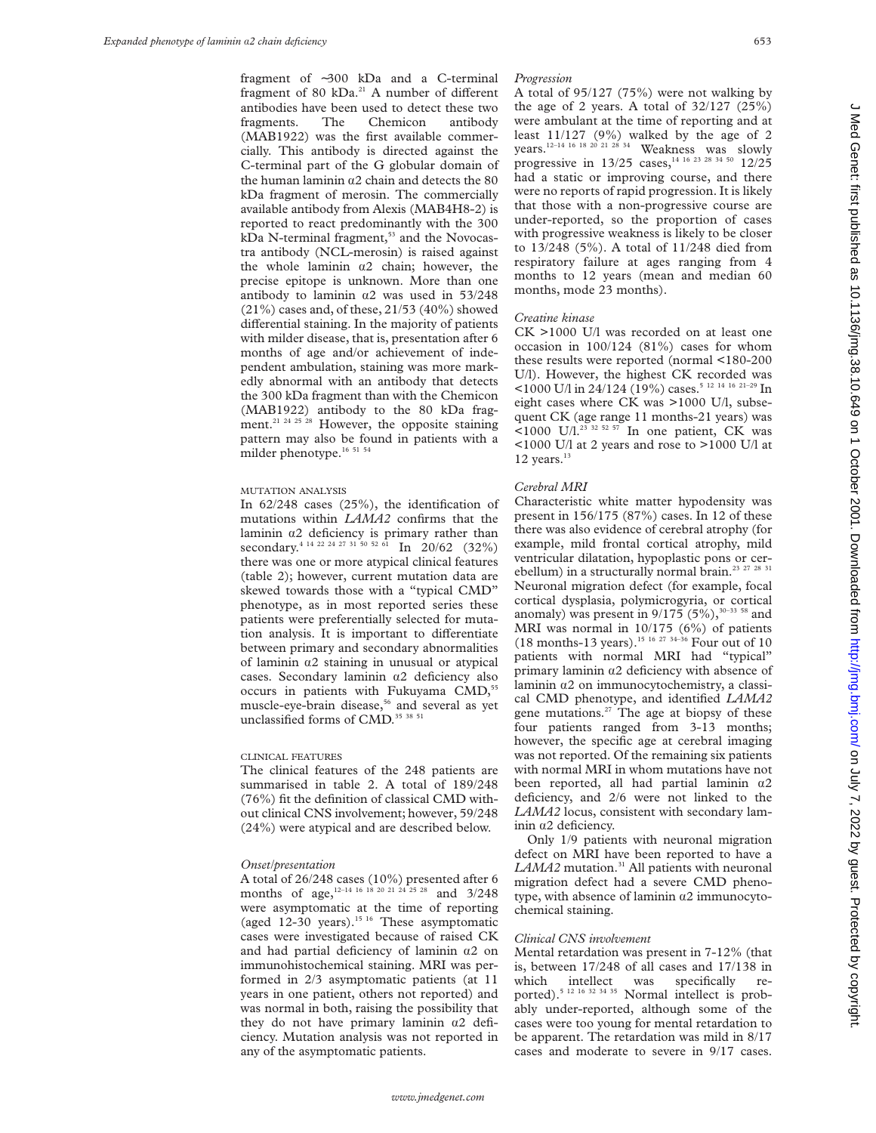fragment of ∼300 kDa and a C-terminal fragment of 80 kDa.<sup>21</sup> A number of different antibodies have been used to detect these two fragments. The Chemicon antibody (MAB1922) was the first available commercially. This antibody is directed against the C-terminal part of the G globular domain of the human laminin  $\alpha$ 2 chain and detects the 80 kDa fragment of merosin. The commercially available antibody from Alexis (MAB4H8-2) is reported to react predominantly with the 300  $kDa$  N-terminal fragment,<sup>53</sup> and the Novocastra antibody (NCL-merosin) is raised against the whole laminin  $\alpha$ 2 chain; however, the precise epitope is unknown. More than one antibody to laminin  $\alpha$ 2 was used in 53/248 (21%) cases and, of these, 21/53 (40%) showed differential staining. In the majority of patients with milder disease, that is, presentation after 6 months of age and/or achievement of independent ambulation, staining was more markedly abnormal with an antibody that detects the 300 kDa fragment than with the Chemicon (MAB1922) antibody to the 80 kDa fragment.<sup>21 24 25 28</sup> However, the opposite staining pattern may also be found in patients with a milder phenotype.<sup>16 51 54</sup>

#### MUTATION ANALYSIS

In 62/248 cases (25%), the identification of mutations within *LAMA2* confirms that the laminin  $\alpha$ 2 deficiency is primary rather than secondary.<sup>4 14 22 24 27 31 50 52 61</sup> In 20/62 (32%) there was one or more atypical clinical features (table 2); however, current mutation data are skewed towards those with a "typical CMD" phenotype, as in most reported series these patients were preferentially selected for mutation analysis. It is important to differentiate between primary and secondary abnormalities of laminin  $\alpha$ 2 staining in unusual or atypical cases. Secondary laminin  $\alpha$ 2 deficiency also occurs in patients with Fukuyama CMD,<sup>55</sup> muscle-eye-brain disease,<sup>56</sup> and several as yet unclassified forms of CMD.<sup>35 38 51</sup>

#### CLINICAL FEATURES

The clinical features of the 248 patients are summarised in table 2. A total of 189/248 (76%) fit the definition of classical CMD without clinical CNS involvement; however, 59/248 (24%) were atypical and are described below.

#### *Onset/presentation*

A total of 26/248 cases (10%) presented after 6 months of age,<sup>12–14 16</sup> 18 20 21 24 25 28 and 3/248 were asymptomatic at the time of reporting (aged  $12-30$  years).<sup>15 16</sup> These asymptomatic cases were investigated because of raised CK and had partial deficiency of laminin  $\alpha$ 2 on immunohistochemical staining. MRI was performed in 2/3 asymptomatic patients (at 11 years in one patient, others not reported) and was normal in both, raising the possibility that they do not have primary laminin  $\alpha$ 2 deficiency. Mutation analysis was not reported in any of the asymptomatic patients.

#### *Progression*

A total of 95/127 (75%) were not walking by the age of 2 years. A total of  $32/127$   $(25\%)$ were ambulant at the time of reporting and at least 11/127 (9%) walked by the age of 2 years.12–14 16 18 20 21 28 34 Weakness was slowly progressive in 13/25 cases,<sup>14 16 23 28 34 50</sup> 12/25 had a static or improving course, and there were no reports of rapid progression. It is likely that those with a non-progressive course are under-reported, so the proportion of cases with progressive weakness is likely to be closer to 13/248 (5%). A total of 11/248 died from respiratory failure at ages ranging from 4 months to 12 years (mean and median 60 months, mode 23 months).

#### *Creatine kinase*

CK >1000 U/l was recorded on at least one occasion in 100/124 (81%) cases for whom these results were reported (normal <180-200 U/l). However, the highest CK recorded was <1000 U/l in 24/124 (19%) cases.<sup>5 12 14 16 21-29</sup> In eight cases where CK was >1000 U/l, subsequent CK (age range 11 months-21 years) was  $\leq 1000$  U/l.<sup>23 32 52 57</sup> In one patient, CK was <1000 U/l at 2 years and rose to >1000 U/l at  $12$  years.<sup>13</sup>

#### *Cerebral MRI*

Characteristic white matter hypodensity was present in 156/175 (87%) cases. In 12 of these there was also evidence of cerebral atrophy (for example, mild frontal cortical atrophy, mild ventricular dilatation, hypoplastic pons or cerebellum) in a structurally normal brain.<sup>23</sup> <sup>27</sup> <sup>28</sup> <sup>31</sup> Neuronal migration defect (for example, focal cortical dysplasia, polymicrogyria, or cortical anomaly) was present in  $9/175 (5\%)$ ,<sup>30–33 58</sup> and MRI was normal in 10/175 (6%) of patients (18 months-13 years).<sup>15 16 27 34-36</sup> Four out of 10 patients with normal MRI had "typical" primary laminin  $\alpha$ 2 deficiency with absence of laminin a2 on immunocytochemistry, a classical CMD phenotype, and identified *LAMA2* gene mutations. $27$  The age at biopsy of these four patients ranged from 3-13 months; however, the specific age at cerebral imaging was not reported. Of the remaining six patients with normal MRI in whom mutations have not been reported, all had partial laminin  $\alpha$ 2 deficiency, and 2/6 were not linked to the *LAMA2* locus, consistent with secondary laminin  $\alpha$ 2 deficiency.

Only 1/9 patients with neuronal migration defect on MRI have been reported to have a LAMA2 mutation.<sup>31</sup> All patients with neuronal migration defect had a severe CMD phenotype, with absence of laminin  $\alpha$ 2 immunocytochemical staining.

#### *Clinical CNS involvement*

Mental retardation was present in 7-12% (that is, between 17/248 of all cases and 17/138 in which intellect was specifically reported).<sup>5 12 16 32 34 35</sup> Normal intellect is probably under-reported, although some of the cases were too young for mental retardation to be apparent. The retardation was mild in 8/17 cases and moderate to severe in 9/17 cases.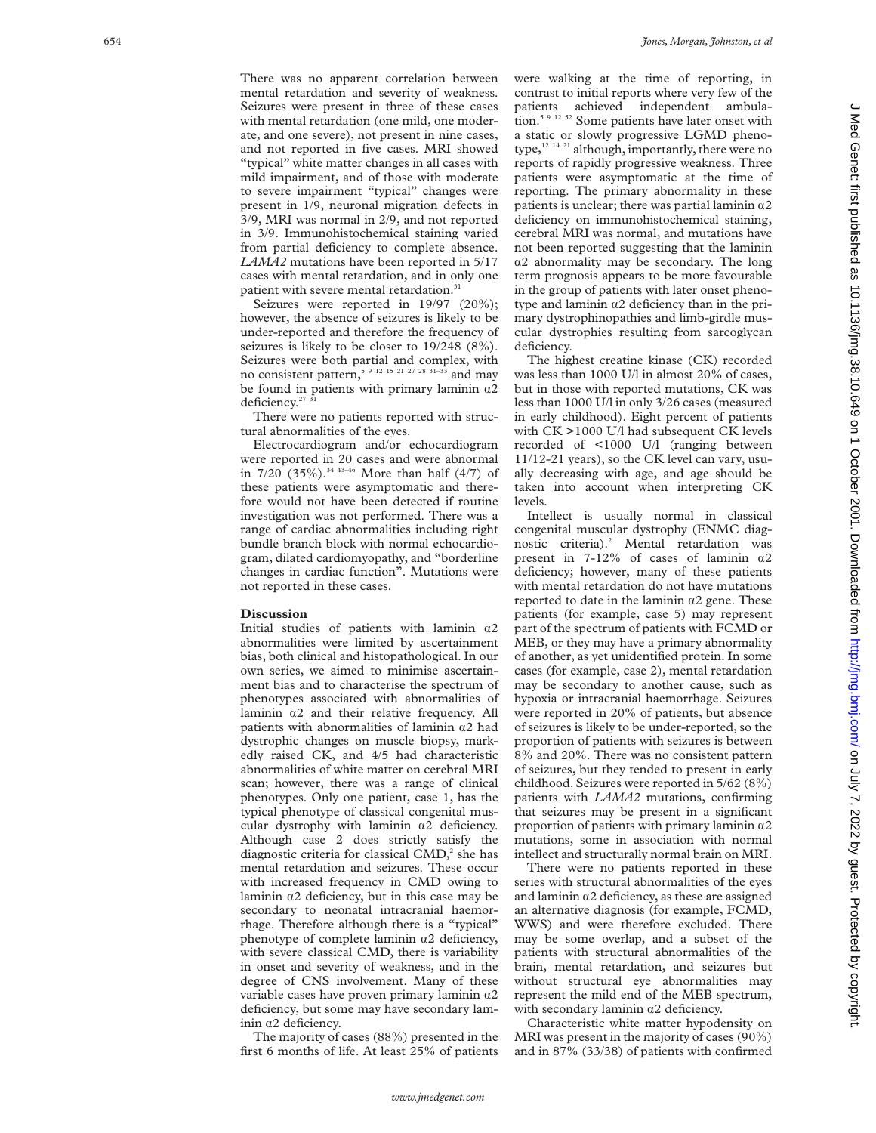There was no apparent correlation between mental retardation and severity of weakness. Seizures were present in three of these cases with mental retardation (one mild, one moderate, and one severe), not present in nine cases, and not reported in five cases. MRI showed "typical" white matter changes in all cases with mild impairment, and of those with moderate to severe impairment "typical" changes were present in 1/9, neuronal migration defects in 3/9, MRI was normal in 2/9, and not reported in 3/9. Immunohistochemical staining varied from partial deficiency to complete absence. *LAMA2* mutations have been reported in 5/17 cases with mental retardation, and in only one patient with severe mental retardation.<sup>31</sup>

Seizures were reported in 19/97 (20%); however, the absence of seizures is likely to be under-reported and therefore the frequency of seizures is likely to be closer to 19/248 (8%). Seizures were both partial and complex, with no consistent pattern,5 9 12 15 21 27 28 31–33 and may be found in patients with primary laminin  $\alpha$ 2 deficiency.<sup>27</sup>

There were no patients reported with structural abnormalities of the eyes.

Electrocardiogram and/or echocardiogram were reported in 20 cases and were abnormal in  $7/20(35\%)$ .<sup>34 43-46</sup> More than half (4/7) of these patients were asymptomatic and therefore would not have been detected if routine investigation was not performed. There was a range of cardiac abnormalities including right bundle branch block with normal echocardiogram, dilated cardiomyopathy, and "borderline changes in cardiac function". Mutations were not reported in these cases.

#### **Discussion**

Initial studies of patients with laminin  $\alpha$ 2 abnormalities were limited by ascertainment bias, both clinical and histopathological. In our own series, we aimed to minimise ascertainment bias and to characterise the spectrum of phenotypes associated with abnormalities of laminin  $\alpha$ 2 and their relative frequency. All patients with abnormalities of laminin  $\alpha$ 2 had dystrophic changes on muscle biopsy, markedly raised CK, and 4/5 had characteristic abnormalities of white matter on cerebral MRI scan; however, there was a range of clinical phenotypes. Only one patient, case 1, has the typical phenotype of classical congenital muscular dystrophy with laminin  $\alpha$ 2 deficiency. Although case 2 does strictly satisfy the diagnostic criteria for classical CMD, <sup>2</sup> she has mental retardation and seizures. These occur with increased frequency in CMD owing to laminin á2 deficiency, but in this case may be secondary to neonatal intracranial haemorrhage. Therefore although there is a "typical" phenotype of complete laminin  $\alpha$ 2 deficiency, with severe classical CMD, there is variability in onset and severity of weakness, and in the degree of CNS involvement. Many of these variable cases have proven primary laminin  $a2$ deficiency, but some may have secondary laminin  $\alpha$ 2 deficiency.

The majority of cases (88%) presented in the first 6 months of life. At least 25% of patients

were walking at the time of reporting, in contrast to initial reports where very few of the patients achieved independent ambulation.<sup>5 9 12 52</sup> Some patients have later onset with a static or slowly progressive LGMD phenotype,<sup>12 14 21</sup> although, importantly, there were no reports of rapidly progressive weakness. Three patients were asymptomatic at the time of reporting. The primary abnormality in these patients is unclear; there was partial laminin  $a2$ deficiency on immunohistochemical staining, cerebral MRI was normal, and mutations have not been reported suggesting that the laminin  $\alpha$ 2 abnormality may be secondary. The long term prognosis appears to be more favourable in the group of patients with later onset phenotype and laminin  $\alpha$ 2 deficiency than in the primary dystrophinopathies and limb-girdle muscular dystrophies resulting from sarcoglycan deficiency.

The highest creatine kinase (CK) recorded was less than 1000 U/l in almost 20% of cases, but in those with reported mutations, CK was less than 1000 U/l in only 3/26 cases (measured in early childhood). Eight percent of patients with CK >1000 U/l had subsequent CK levels recorded of <1000 U/l (ranging between 11/12-21 years), so the CK level can vary, usually decreasing with age, and age should be taken into account when interpreting CK levels.

Intellect is usually normal in classical congenital muscular dystrophy (ENMC diagnostic criteria).<sup>2</sup> Mental retardation was present in  $7-12\%$  of cases of laminin  $\alpha$ 2 deficiency; however, many of these patients with mental retardation do not have mutations reported to date in the laminin  $\alpha$ 2 gene. These patients (for example, case 5) may represent part of the spectrum of patients with FCMD or MEB, or they may have a primary abnormality of another, as yet unidentified protein. In some cases (for example, case 2), mental retardation may be secondary to another cause, such as hypoxia or intracranial haemorrhage. Seizures were reported in 20% of patients, but absence of seizures is likely to be under-reported, so the proportion of patients with seizures is between 8% and 20%. There was no consistent pattern of seizures, but they tended to present in early childhood. Seizures were reported in 5/62 (8%) patients with *LAMA2* mutations, confirming that seizures may be present in a significant proportion of patients with primary laminin  $a2$ mutations, some in association with normal intellect and structurally normal brain on MRI.

There were no patients reported in these series with structural abnormalities of the eyes and laminin  $\alpha$ 2 deficiency, as these are assigned an alternative diagnosis (for example, FCMD, WWS) and were therefore excluded. There may be some overlap, and a subset of the patients with structural abnormalities of the brain, mental retardation, and seizures but without structural eye abnormalities may represent the mild end of the MEB spectrum, with secondary laminin  $\alpha$ 2 deficiency.

Characteristic white matter hypodensity on MRI was present in the majority of cases (90%) and in 87% (33/38) of patients with confirmed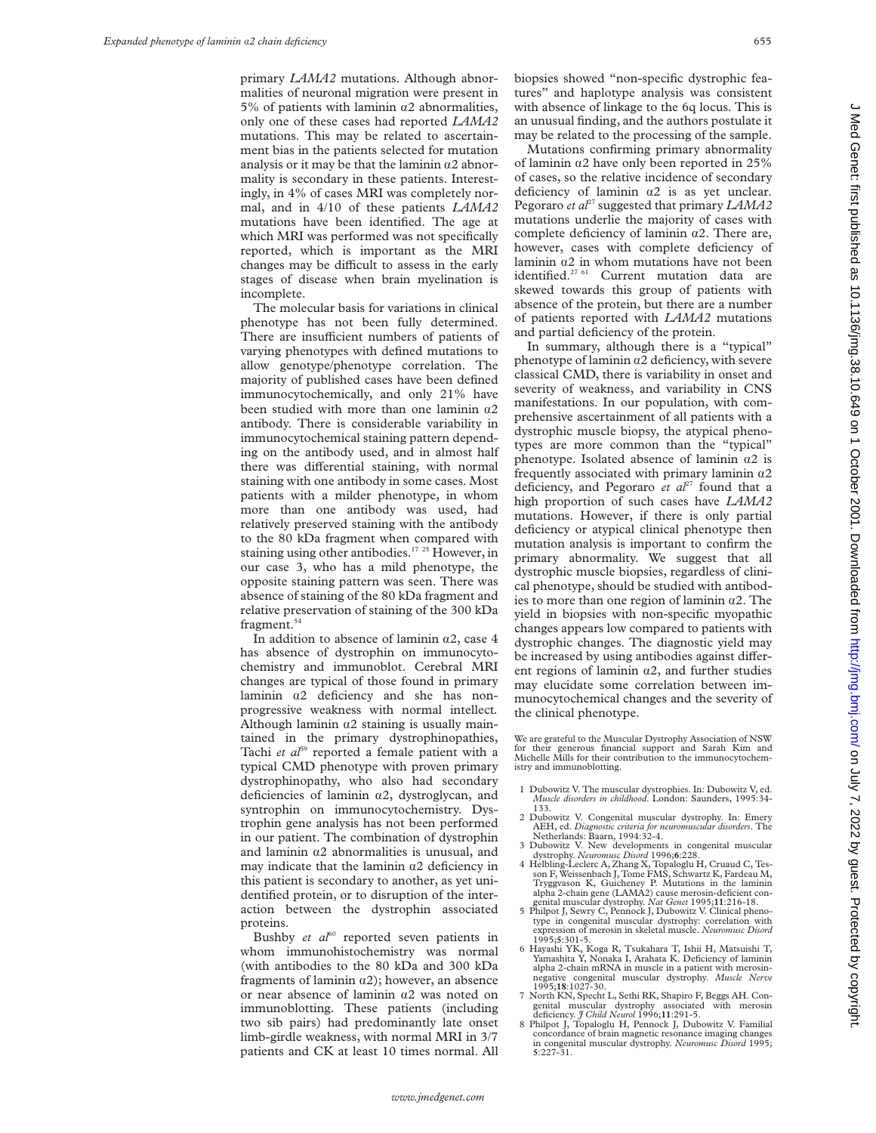primary *LAMA2* mutations. Although abnormalities of neuronal migration were present in 5% of patients with laminin  $\alpha$ 2 abnormalities, only one of these cases had reported *LAMA2* mutations. This may be related to ascertainment bias in the patients selected for mutation analysis or it may be that the laminin  $\alpha$ 2 abnormality is secondary in these patients. Interestingly, in 4% of cases MRI was completely normal, and in 4/10 of these patients *LAMA2* mutations have been identified. The age at which MRI was performed was not specifically reported, which is important as the MRI changes may be difficult to assess in the early stages of disease when brain myelination is incomplete.

The molecular basis for variations in clinical phenotype has not been fully determined. There are insufficient numbers of patients of varying phenotypes with defined mutations to allow genotype/phenotype correlation. The majority of published cases have been defined immunocytochemically, and only 21% have been studied with more than one laminin  $\alpha$ 2 antibody. There is considerable variability in immunocytochemical staining pattern depending on the antibody used, and in almost half there was differential staining, with normal staining with one antibody in some cases. Most patients with a milder phenotype, in whom more than one antibody was used, had relatively preserved staining with the antibody to the 80 kDa fragment when compared with staining using other antibodies.<sup>17</sup> <sup>25</sup> However, in our case 3, who has a mild phenotype, the opposite staining pattern was seen. There was absence of staining of the 80 kDa fragment and relative preservation of staining of the 300 kDa fragment.<sup>54</sup>

In addition to absence of laminin  $\alpha$ 2, case 4 has absence of dystrophin on immunocytochemistry and immunoblot. Cerebral MRI changes are typical of those found in primary laminin  $\alpha$ 2 deficiency and she has nonprogressive weakness with normal intellect*.* Although laminin  $\alpha$ 2 staining is usually maintained in the primary dystrophinopathies, Tachi et al<sup>59</sup> reported a female patient with a typical CMD phenotype with proven primary dystrophinopathy, who also had secondary deficiencies of laminin  $\alpha$ 2, dystroglycan, and syntrophin on immunocytochemistry. Dystrophin gene analysis has not been performed in our patient. The combination of dystrophin and laminin  $\alpha$ 2 abnormalities is unusual, and may indicate that the laminin  $\alpha$ 2 deficiency in this patient is secondary to another, as yet unidentified protein, or to disruption of the interaction between the dystrophin associated proteins.

Bushby *et al*<sup>60</sup> reported seven patients in whom immunohistochemistry was normal (with antibodies to the 80 kDa and 300 kDa fragments of laminin  $\alpha$ 2); however, an absence or near absence of laminin  $\alpha$ 2 was noted on immunoblotting. These patients (including two sib pairs) had predominantly late onset limb-girdle weakness, with normal MRI in 3/7 patients and CK at least 10 times normal. All

biopsies showed "non-specific dystrophic features" and haplotype analysis was consistent with absence of linkage to the 6q locus. This is an unusual finding, and the authors postulate it may be related to the processing of the sample.

Mutations confirming primary abnormality of laminin  $\alpha$ 2 have only been reported in 25% of cases, so the relative incidence of secondary deficiency of laminin  $\alpha$ 2 is as yet unclear. Pegoraro *et al*<sup>27</sup> suggested that primary *LAMA2* mutations underlie the majority of cases with complete deficiency of laminin  $\alpha$ 2. There are, however, cases with complete deficiency of laminin  $\alpha$ 2 in whom mutations have not been identified.<sup>27 61</sup> Current mutation data are skewed towards this group of patients with absence of the protein, but there are a number of patients reported with *LAMA2* mutations and partial deficiency of the protein.

In summary, although there is a "typical" phenotype of laminin  $\alpha$ 2 deficiency, with severe classical CMD, there is variability in onset and severity of weakness, and variability in CNS manifestations. In our population, with comprehensive ascertainment of all patients with a dystrophic muscle biopsy, the atypical phenotypes are more common than the "typical" phenotype. Isolated absence of laminin  $\alpha$ 2 is frequently associated with primary laminin  $\alpha$ 2 deficiency, and Pegoraro *et al*<sup>27</sup> found that a high proportion of such cases have *LAMA2* mutations. However, if there is only partial deficiency or atypical clinical phenotype then mutation analysis is important to confirm the primary abnormality. We suggest that all dystrophic muscle biopsies, regardless of clinical phenotype, should be studied with antibodies to more than one region of laminin  $\alpha$ 2. The yield in biopsies with non-specific myopathic changes appears low compared to patients with dystrophic changes. The diagnostic yield may be increased by using antibodies against different regions of laminin  $\alpha$ 2, and further studies may elucidate some correlation between immunocytochemical changes and the severity of the clinical phenotype.

We are grateful to the Muscular Dystrophy Association of NSW for their generous financial support and Sarah Kim and Michelle Mills for their contribution to the immunocytochemistry and immunoblotting.

- 1 Dubowitz V. The muscular dystrophies. In: Dubowitz V, ed. *Muscle disorders in childhood*. London: Saunders, 1995:34- 133.
- 2 Dubowitz V. Congenital muscular dystrophy. In: Emery AEH, ed. *Diagnostic criteria for neuromuscular disorders*. The Netherlands: Baarn, 1994:32-4.
- 3 Dubowitz V. New developments in congenital muscular<br>dystrophy. Neuromusc Disord 1996:6:228.
- dystrophy. *Neuromusc Disord* 1996;**6**:228.<br>4 Helbling-Leclerc A, Zhang X, Topaloglu H, Cruaud C, Tesson F, Weissenbach J, Tome FMS, Schwartz K, Fardeau M, Tryggvason K, Guicheney P. Mutations in the laminin alpha 2-chain gene (LAMA2) cause merosin-deficient con-
- genital muscular dystrophy. *Nat Genet* 1995;11:216-18.<br>5 Philpot J, Sewry C, Pennock J, Dubowitz V. Clinical pheno-<br>type in congenital muscular dystrophy: correlation with expression of merosin in skeletal muscle. *Neuromusc Disord*
- 1995;**5**:301-5. 6 Hayashi YK, Koga R, Tsukahara T, Ishii H, Matsuishi T, Yamashita Y, Nonaka I, Arahata K. Deficiency of laminin alpha 2-chain mRNA in muscle in a patient with merosinnegative congenital muscular dystrophy. *Muscle Nerve* 1995;**18**:1027-30.
- 7 North KN, Specht L, Sethi RK, Shapiro F, Beggs AH. Congenital muscular dystrophy associated with merosin deficiency. *J Child Neurol* 1996;**11**:291-5.
- 8 Philpot J, Topaloglu H, Pennock J, Dubowitz V. Familial concordance of brain magnetic resonance imaging changes in congenital muscular dystrophy. *Neuromusc Disord* 1995; **5**:227-31.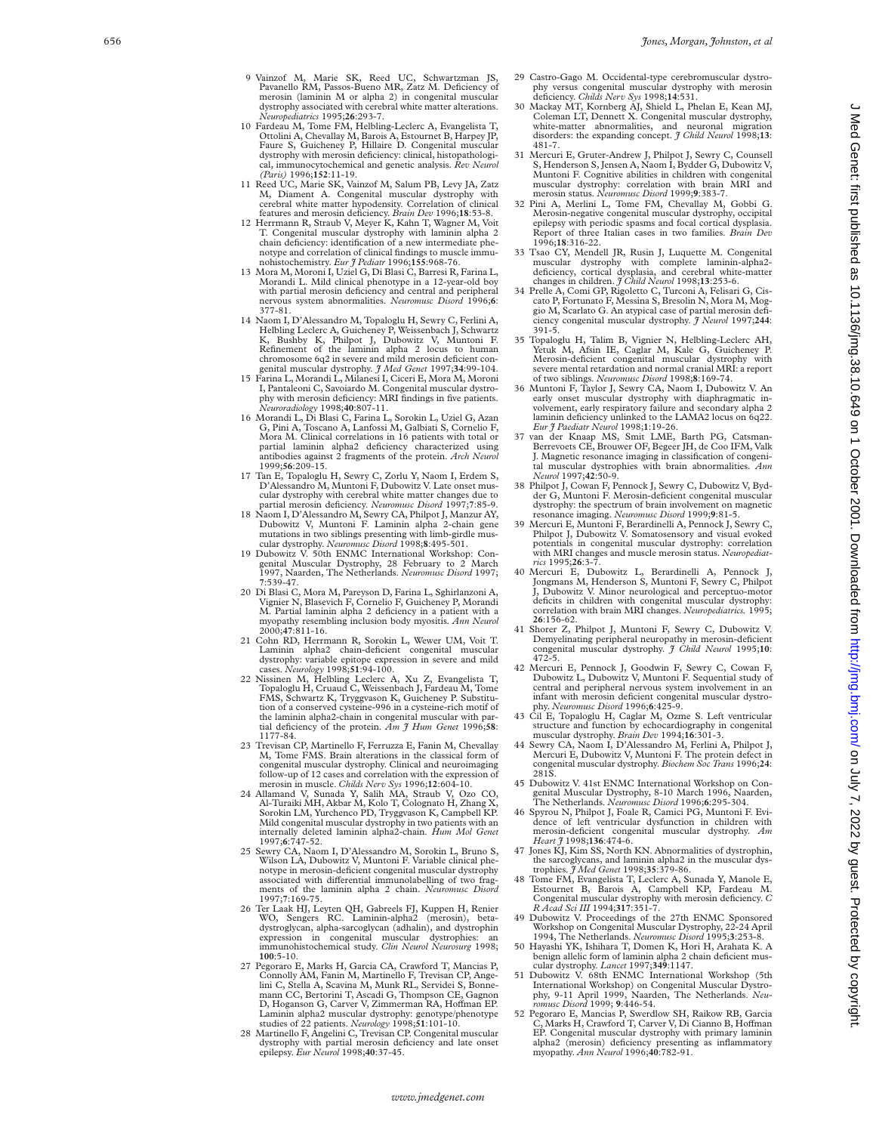- 9 Vainzof M, Marie SK, Reed UC, Schwartzman JS, Pavanello RM, Passos-Bueno MR, Zatz M. Deficiency of merosin (laminin M or alpha 2) in congenital muscular dystrophy associated with cerebral white matter alterations. *Neuropediatrics* 1995;**26**:293-7.
- 10 Fardeau M, Tome FM, Helbling-Leclerc A, Evangelista T, Ottolini A, Chevallay M, Barois A, Estournet B, Harpey JP, Faure S, Guicheney P, Hillaire D. Congenital muscular dystrophy with merosin deficiency: clinical, histopathological, immunocytochemical and genetic analysis. *Rev Neurol (Paris)* 1996;**152**:11-19.
- 11 Reed UC, Marie SK, Vainzof M, Salum PB, Levy JA, Zatz M, Diament A. Congenital muscular dystrophy with cerebral white matter hypodensity. Correlation of clinical
- features and merosin deficiency. *Brain Dev* 1996;**18**:53-8. 12 Herrmann R, Straub V, Meyer K, Kahn T, Wagner M, Voit T. Congenital muscular dystrophy with laminin alpha 2 chain deficiency: identification of a new intermediate phenotype and correlation of clinical findings to muscle immu-nohistochemistry. *Eur J Pediatr* 1996;**155**:968-76.
- 13 Mora M, Moroni I, Uziel G, Di Blasi C, Barresi R, Farina L, Morandi L. Mild clinical phenotype in a 12-year-old boy with partial merosin deficiency and central and peripheral nervous system abnormalities. *Neuromusc Disord* 1996; **6** : 377-81.
- 14 Naom I, D'Alessandro M, Topaloglu H, Sewry C, Ferlini A, Helbling Leclerc A, Guicheney P, Weissenbach J, Schwartz<br>K, Bushby K, Philpot J, Dubowitz V, Muntoni F.<br>Refinement of the lamini alpha 2 locus to human<br>chromosome genital muscular dystrophy. *J Med Genet* 1997;**34**:99-104.
- 15 Farina L, Morandi L, Milanesi I, Ciceri E, Mora M, Moroni I, Pantaleoni C, Savoiardo M. Congenital muscular dystrophy with merosin deficiency: MRI findings in five patients. *Neuroradiology* 1998;**40**:807-11.
- 16 Morandi L, Di Blasi C, Farina L, Sorokin L, Uziel G, Azan G, Pini A, Toscano A, Lanfossi M, Galbiati S, Cornelio F, Mora M. Clinical correlations in 16 patients with total or partial laminin alpha2 deficiency characterized using antibodies against 2 fragments of the protein. *Arch Neurol* 1999;**56**:209-15.
- 17 Tan E, Topaloglu H, Sewry C, Zorlu Y, Naom I, Erdem S, D'Alessandro M, Muntoni F, Dubowitz V. Late onset muscular dystrophy with cerebral white matter changes due to partial merosin deficiency. *Neuromusc Disord* 1997; **7**:85-9.
- 18 Naom I, D'Alessandro M, Sewry CA, Philpot J, Manzur AY, Dubowitz V, Muntoni F. Laminin alpha 2-chain gene mutations in two siblings presenting with limb-girdle mus-cular dystrophy. *Neuromusc Disord* 1998;**8**:495-501.
- 19 Dubowitz V. 50th ENMC International Workshop: Con-genital Muscular Dystrophy, 28 February to 2 March 1997, Naarden, The Netherlands. *Neuromusc Disord* 1997; **7**:539-47.
- 20 Di Blasi C, Mora M, Pareyson D, Farina L, Sghirlanzoni A, Vignier N, Blasevich F, Cornelio F, Guicheney P, Morandi M. Partial laminin alpha 2 deficiency in a patient with a myopathy resembling inclusion body myositis. *Ann Neurol* 2000;**47**:811-16.
- 21 Cohn RD, Herrmann R, Sorokin L, Wewer UM, Voit T. Laminin alpha2 chain-deficient congenital muscular dystrophy: variable epitope expression in severe and mild cases. *Neurology* 1998;**51**:94-100.
- 22 Nissinen M, Helbling Leclerc A, Xu Z, Evangelista T, Topaloglu H, Cruaud C, Weissenbach J, Fardeau M, Tome FMS, Schwartz K, Tryggvason K, Guicheney P. Substitu-tion of a conserved cysteine-996 in a cysteine-rich motif of the laminin alpha2-chain in congenital muscular with partial deficiency of the protein. *Am J Hum Genet* 1996;**58**: 1177-84.
- 23 Trevisan CP, Martinello F, Ferruzza E, Fanin M, Chevallay M, Tome FMS. Brain alterations in the classical form of congenital muscular dystrophy. Clinical and neuroimaging follow-up of 12 cases and correlation with the expression of
- merosin in muscle. *Childs Nerv Sys* 1996;**12**:604-10. 24 Allamand V, Sunada Y, Salih MA, Straub V, Ozo CO, Al-Turaiki MH, Akbar M, Kolo T, Colognato H, Zhang X, Sorokin LM, Yurchenco PD, Tryggvason K, Campbell KP. Mild congenital muscular dystrophy in two patients with an internally deleted laminin alpha2-chain. *Hum Mol Genet* 1997; **6**:747-52.
- 25 Sewry CA, Naom I, D'Alessandro M, Sorokin L, Bruno S, Wilson LA, Dubowitz V, Muntoni F. Variable clinical phenotype in merosin-deficient congenital muscular dystrophy associated with differential immunolabelling of two fragments of the laminin alpha 2 chain. *Neuromusc Disord* 1997; **7**:169-75.
- 26 Ter Laak HJ, Leyten QH, Gabreels FJ, Kuppen H, Renier WO, Sengers RC. Laminin-alpha2 (merosin), betadystroglycan, alpha-sarcoglycan (adhalin), and dystrophin expression in congenital muscular dystrophies: an immunohistochemical study. *Clin Neurol Neurosurg* 1998; **100**:5-10.
- 27 Pegoraro E, Marks H, Garcia CA, Crawford T, Mancias P, Connolly AM, Fanin M, Martinello F, Trevisan CP, Angelini C, Stella A, Scavina M, Munk RL, Servidei S, Bonnemann CC, Bertorini T, Ascadi G, Thompson CE, Gagnon D, Hoganson G, Carver V, Zimmerman RA, Hoffman EP. Laminin alpha2 muscular dystrophy: genotype/phenotype studies of 22 patients. *Neurology* 1998;**51**:101-10.
- 28 Martinello F, Angelini C, Trevisan CP. Congenital muscular dystrophy with partial merosin deficiency and late onset epilepsy. *Eur Neurol* 1998;**40**:37-45.
- 29 Castro-Gago M. Occidental-type cerebromuscular dystro-phy versus congenital muscular dystrophy with merosin deficiency. *Childs Nerv Sys* 1998;**14**:531.
- 30 Mackay MT, Kornberg AJ, Shield L, Phelan E, Kean MJ, Coleman LT, Dennett X. Congenital muscular dystrophy, white-matter abnormalities, and neuronal migration disorders: the expanding concept. *J Child Neurol* 1998;**13** : 481-7.
- 31 Mercuri E, Gruter-Andrew J, Philpot J, Sewry C, Counsell S, Henderson S, Jensen A, Naom I, Bydder G, Dubowitz V, Muntoni F. Cognitive abilities in children with congenital muscular dystrophy: correlation with brain MRI and merosin status. *Neuromusc Disord* 1999; **9**:383-7.
- 32 Pini A, Merlini L, Tome FM, Chevallay M, Gobbi G. Merosin-negative congenital muscular dystrophy, occipital epilepsy with periodic spasms and focal cortical dysplasia. Report of three Italian cases in two families. *Brain Dev* 1996;**18**:316-22.
- 33 Tsao CY, Mendell JR, Rusin J, Luquette M. Congenital muscular dystrophy with complete laminin-alpha2- deficiency, cortical dysplasia, and cerebral white-matter changes in children. *J Child Neurol* 1998;**13**:253-6.
- 34 Prelle A, Comi GP, Rigoletto C, Turconi A, Felisari G, Ciscato P, Fortunato F, Messina S, Bresolin N, Mora M, Moggio M, Scarlato G. An atypical case of partial merosin defi-ciency congenital muscular dystrophy. *J Neurol* 1997;**244**: 391-5.
- 35 Topaloglu H, Talim B, Vignier N, Helbling-Leclerc AH, Yetuk M, Afsin IE, Caglar M, Kale G, Guicheney P. Merosin-deficient congenital muscular dystrophy with severe mental retardation and normal cranial MRI: a report of two siblings. *Neuromusc Disord* 1998; **8**:169-74.
- 36 Muntoni F, Taylor J, Sewry CA, Naom I, Dubowitz V. An early onset muscular dystrophy with diaphragmatic involvement, early respiratory failure and secondary alpha 2 laminin deficiency unlinked to the LAMA2 locus on 6q22. *Eur J Paediatr Neurol* 1998; **1**:19-26.
- 37 van der Knaap MS, Smit LME, Barth PG, Catsman-Berrevoets CE, Brouwer OF, Begeer JH, de Coo IFM, Valk J. Magnetic resonance imaging in classification of congenital muscular dystrophies with brain abnormalities. *Ann Neurol* 1997;**42**:50-9.
- 38 Philpot J, Cowan F, Pennock J, Sewry C, Dubowitz V, Byd-der G, Muntoni F. Merosin-deficient congenital muscular dystrophy: the spectrum of brain involvement on magnetic resonance imaging. *Neuromusc Disord* 1999; **9**:81-5.
- Mercuri E, Muntoni F, Berardinelli A, Pennock J, Sewry Philpot J, Dubowitz V. Somatosensory and visual evoked potentials in congenital muscular dystrophy: correlation with MRI changes and muscle merosin status. *Neuropediatrics* 1995;**26**:3-7.
- 40 Mercuri E, Dubowitz J, Berardinelli A, Pennock J Jongmans M, Henderson S, Muntoni F, Sewry C, Philpot J, Dubowitz V. Minor neurological and perceptuo-motor deficits in children with congenital muscular dystrophy: correlation with brain MRI changes. *Neuropediatrics.* 1995; **26**:156-62.
- 41 Shorer Z, Philpot J, Muntoni F, Sewry C, Dubowitz V. Demyelinating peripheral neuropathy in merosin-deficient congenital muscular dystrophy. *J Child Neurol* 1995;**10** : 472-5.
- 42 Mercuri E, Pennock J, Goodwin F, Sewry C, Cowan F, Dubowitz L, Dubowitz V, Muntoni F. Sequential study of central and peripheral nervous system involvement in an infant with merosin deficient congenital muscular dystrophy. *Neuromusc Disord* 1996;**6**:425-9.
- 43 Cil E, Topaloglu H, Caglar M, Ozme S. Left ventricular structure and function by echocardiography in congenital
- muscular dystrophy. *Brain Dev* 1994;**16**:301-3. 44 Sewry CA, Naom I, D'Alessandro M, Ferlini A, Philpot J, Mercuri E, Dubowitz V, Muntoni F. The protein defect in congenital muscular dystrophy. *Biochem Soc Trans* 1996;**24** : 281S.
- 45 Dubowitz V. 41st ENMC International Workshop on Congenital Muscular Dystrophy, 8-10 March 1996, Naarden, The Netherlands. *Neuromusc Disord* 1996; **6**:295-304.
- 46 Spyrou N, Philpot J, Foale R, Camici PG, Muntoni F. Evidence of left ventricular dysfunction in children with merosin-deficient congenital muscular dystrophy. *Am Heart J* 1998;**136**:474-6.
- 47 Jones KJ, Kim SS, North KN. Abnormalities of dystrophin, the sarcoglycans, and laminin alpha2 in the muscular dystrophies. *J Med Genet* 1998;**35**:379-86.
- Tome FM, Evangelista T, Leclerc A, Sunada Y, Manole E, Estournet B, Barois A, Campbell KP, Fardeau M. Congenital muscular dystrophy with merosin deficiency. *C R Acad Sci III* 1994;**317**:351-7.
- Dubowitz V. Proceedings of the 27th ENMC Sponsored Workshop on Congenital Muscular Dystrophy, 22-24 April 1994, The Netherlands. *Neuromusc Disord* 1995; **3**:253-8.
- 50 Hayashi YK, Ishihara T, Domen K, Hori H, Arahata K. A benign allelic form of laminin alpha 2 chain deficient muscular dystrophy. *Lancet* 1997;**349**:1147. 51 Dubowitz V. 68th ENMC International Workshop (5th
- International Workshop) on Congenital Muscular Dystro-phy, 9-11 April 1999, Naarden, The Netherlands. *Neu-romusc Disord* 1999; **9**:446-54.
- 52 Pegoraro E, Mancias P, Swerdlow SH, Raikow RB, Garcia<br>C, Marks H, Crawford T, Carver V, Di Cianno B, Hoffman EP. Congenital muscular dystrophy with primary laminin alpha2 (merosin) deficiency presenting as inflammatory myopathy. *Ann Neurol* 1996;**40**:782-91.